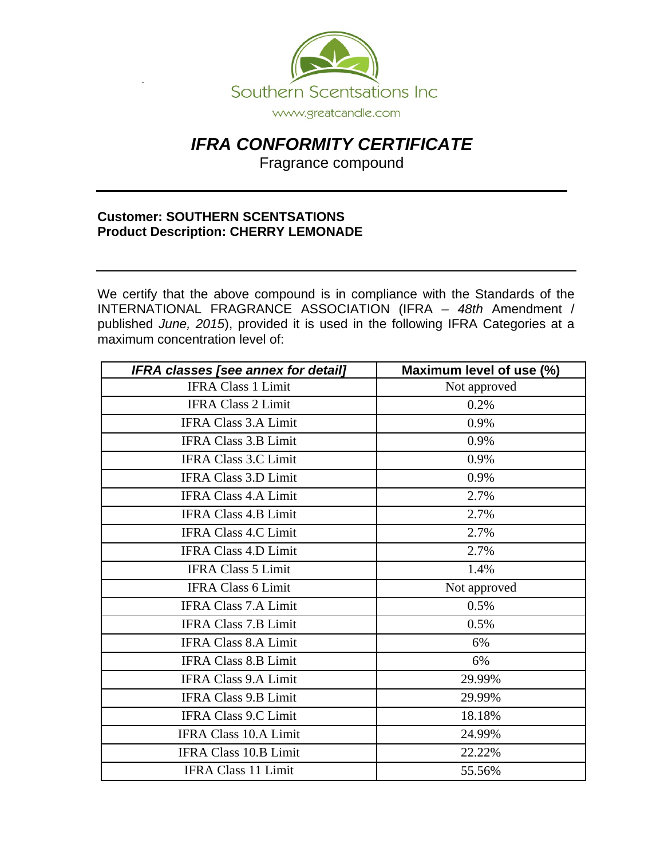

## *IFRA CONFORMITY CERTIFICATE*

Fragrance compound

## **Customer: SOUTHERN SCENTSATIONS Product Description: CHERRY LEMONADE**

We certify that the above compound is in compliance with the Standards of the INTERNATIONAL FRAGRANCE ASSOCIATION (IFRA *– 48th* Amendment / published *June, 2015*), provided it is used in the following IFRA Categories at a maximum concentration level of:

| <b>IFRA classes [see annex for detail]</b> | Maximum level of use (%) |
|--------------------------------------------|--------------------------|
| <b>IFRA Class 1 Limit</b>                  | Not approved             |
| <b>IFRA Class 2 Limit</b>                  | 0.2%                     |
| <b>IFRA Class 3.A Limit</b>                | 0.9%                     |
| <b>IFRA Class 3.B Limit</b>                | 0.9%                     |
| <b>IFRA Class 3.C Limit</b>                | 0.9%                     |
| <b>IFRA Class 3.D Limit</b>                | 0.9%                     |
| <b>IFRA Class 4.A Limit</b>                | 2.7%                     |
| <b>IFRA Class 4.B Limit</b>                | 2.7%                     |
| <b>IFRA Class 4.C Limit</b>                | 2.7%                     |
| <b>IFRA Class 4.D Limit</b>                | 2.7%                     |
| <b>IFRA Class 5 Limit</b>                  | 1.4%                     |
| <b>IFRA Class 6 Limit</b>                  | Not approved             |
| <b>IFRA Class 7.A Limit</b>                | 0.5%                     |
| <b>IFRA Class 7.B Limit</b>                | 0.5%                     |
| <b>IFRA Class 8.A Limit</b>                | 6%                       |
| <b>IFRA Class 8.B Limit</b>                | 6%                       |
| <b>IFRA Class 9.A Limit</b>                | 29.99%                   |
| <b>IFRA Class 9.B Limit</b>                | 29.99%                   |
| <b>IFRA Class 9.C Limit</b>                | 18.18%                   |
| <b>IFRA Class 10.A Limit</b>               | 24.99%                   |
| <b>IFRA Class 10.B Limit</b>               | 22.22%                   |
| <b>IFRA Class 11 Limit</b>                 | 55.56%                   |